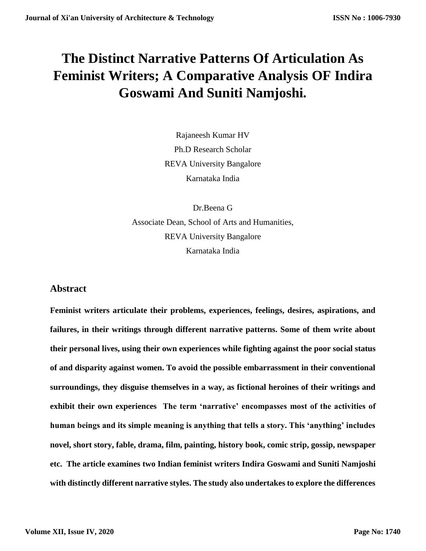## **The Distinct Narrative Patterns Of Articulation As Feminist Writers; A Comparative Analysis OF Indira Goswami And Suniti Namjoshi.**

Rajaneesh Kumar HV Ph.D Research Scholar REVA University Bangalore Karnataka India

Dr.Beena G Associate Dean, School of Arts and Humanities, REVA University Bangalore Karnataka India

## **Abstract**

**Feminist writers articulate their problems, experiences, feelings, desires, aspirations, and failures, in their writings through different narrative patterns. Some of them write about their personal lives, using their own experiences while fighting against the poor social status of and disparity against women. To avoid the possible embarrassment in their conventional surroundings, they disguise themselves in a way, as fictional heroines of their writings and exhibit their own experiences The term 'narrative' encompasses most of the activities of human beings and its simple meaning is anything that tells a story. This 'anything' includes novel, short story, fable, drama, film, painting, history book, comic strip, gossip, newspaper etc. The article examines two Indian feminist writers Indira Goswami and Suniti Namjoshi with distinctly different narrative styles. The study also undertakes to explore the differences**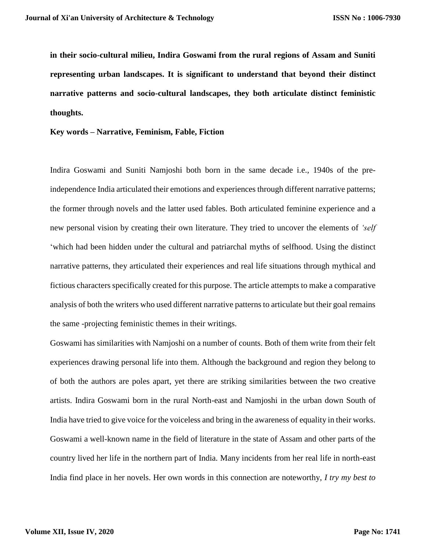**in their socio-cultural milieu, Indira Goswami from the rural regions of Assam and Suniti representing urban landscapes. It is significant to understand that beyond their distinct narrative patterns and socio-cultural landscapes, they both articulate distinct feministic thoughts.**

**Key words – Narrative, Feminism, Fable, Fiction**

Indira Goswami and Suniti Namjoshi both born in the same decade i.e., 1940s of the preindependence India articulated their emotions and experiences through different narrative patterns; the former through novels and the latter used fables. Both articulated feminine experience and a new personal vision by creating their own literature. They tried to uncover the elements of *'self* 'which had been hidden under the cultural and patriarchal myths of selfhood. Using the distinct narrative patterns, they articulated their experiences and real life situations through mythical and fictious characters specifically created for this purpose. The article attempts to make a comparative analysis of both the writers who used different narrative patterns to articulate but their goal remains the same -projecting feministic themes in their writings.

Goswami has similarities with Namjoshi on a number of counts. Both of them write from their felt experiences drawing personal life into them. Although the background and region they belong to of both the authors are poles apart, yet there are striking similarities between the two creative artists. Indira Goswami born in the rural North-east and Namjoshi in the urban down South of India have tried to give voice for the voiceless and bring in the awareness of equality in their works. Goswami a well-known name in the field of literature in the state of Assam and other parts of the country lived her life in the northern part of India. Many incidents from her real life in north-east India find place in her novels. Her own words in this connection are noteworthy, *I try my best to*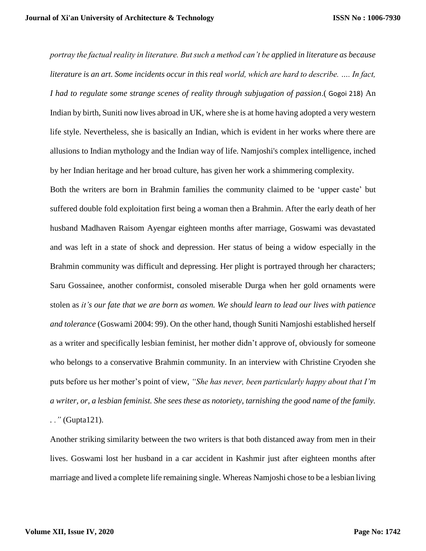*portray the factual reality in literature. But such a method can't be applied in literature as because literature is an art. Some incidents occur in this real world, which are hard to describe. …. In fact, I had to regulate some strange scenes of reality through subjugation of passion*.( Gogoi 218) An Indian by birth, Suniti now lives abroad in UK, where she is at home having adopted a very western life style. Nevertheless, she is basically an Indian, which is evident in her works where there are allusions to Indian mythology and the Indian way of life. Namjoshi's complex intelligence, inched by her Indian heritage and her broad culture, has given her work a shimmering complexity.

Both the writers are born in Brahmin families the community claimed to be 'upper caste' but suffered double fold exploitation first being a woman then a Brahmin. After the early death of her husband Madhaven Raisom Ayengar eighteen months after marriage, Goswami was devastated and was left in a state of shock and depression. Her status of being a widow especially in the Brahmin community was difficult and depressing. Her plight is portrayed through her characters; Saru Gossainee, another conformist, consoled miserable Durga when her gold ornaments were stolen as *it's our fate that we are born as women. We should learn to lead our lives with patience and tolerance* (Goswami 2004: 99). On the other hand, though Suniti Namjoshi established herself as a writer and specifically lesbian feminist, her mother didn't approve of, obviously for someone who belongs to a conservative Brahmin community. In an interview with Christine Cryoden she puts before us her mother's point of view, *"She has never, been particularly happy about that I'm a writer, or, a lesbian feminist. She sees these as notoriety, tarnishing the good name of the family.* 

*. ."* (Gupta121).

Another striking similarity between the two writers is that both distanced away from men in their lives. Goswami lost her husband in a car accident in Kashmir just after eighteen months after marriage and lived a complete life remaining single. Whereas Namjoshi chose to be a lesbian living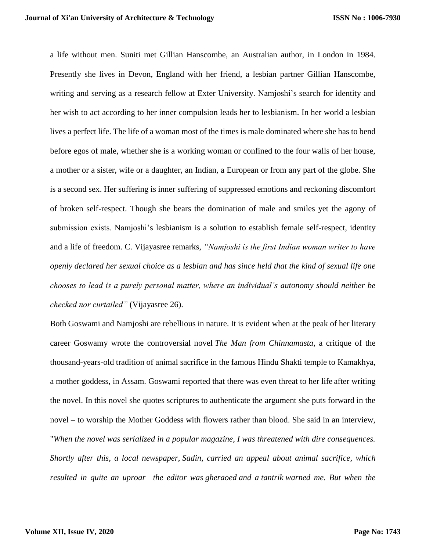a life without men. Suniti met Gillian Hanscombe, an Australian author, in London in 1984. Presently she lives in Devon, England with her friend, a lesbian partner Gillian Hanscombe, writing and serving as a research fellow at Exter University. Namjoshi's search for identity and her wish to act according to her inner compulsion leads her to lesbianism. In her world a lesbian lives a perfect life. The life of a woman most of the times is male dominated where she has to bend before egos of male, whether she is a working woman or confined to the four walls of her house, a mother or a sister, wife or a daughter, an Indian, a European or from any part of the globe. She is a second sex. Her suffering is inner suffering of suppressed emotions and reckoning discomfort of broken self-respect. Though she bears the domination of male and smiles yet the agony of submission exists. Namjoshi's lesbianism is a solution to establish female self-respect, identity and a life of freedom. C. Vijayasree remarks, *"Namjoshi is the first Indian woman writer to have openly declared her sexual choice as a lesbian and has since held that the kind of sexual life one chooses to lead is a purely personal matter, where an individual's autonomy should neither be checked nor curtailed"* (Vijayasree 26).

Both Goswami and Namjoshi are rebellious in nature. It is evident when at the peak of her literary career Goswamy wrote the controversial novel *The Man from Chinnamasta*, a critique of the thousand-years-old tradition of [animal sacrifice](https://en.wikipedia.org/wiki/Animal_sacrifice) in the famous Hindu [Shakti](https://en.wikipedia.org/wiki/Shakti) temple to [Kamakhya,](https://en.wikipedia.org/wiki/Kamakhya) a [mother goddess,](https://en.wikipedia.org/wiki/Mother_goddess) in Assam. Goswami reported that there was even threat to her life after writing the novel. In this novel she quotes [scriptures](https://en.wikipedia.org/wiki/Scripture) to authenticate the argument she puts forward in the novel – to worship the Mother Goddess with flowers rather than blood. She said in an interview, "*When the novel was serialized in a popular magazine, I was threatened with dire consequences. Shortly after this, a local newspaper, [Sadin,](https://en.wikipedia.org/w/index.php?title=Sadin_(newspaper)&action=edit&redlink=1) carried an appeal about animal sacrifice, which resulted in quite an uproar—the editor was [gheraoed](https://en.wikipedia.org/wiki/Gherao) and a [tantrik](https://en.wikipedia.org/wiki/Tantra) warned me. But when the*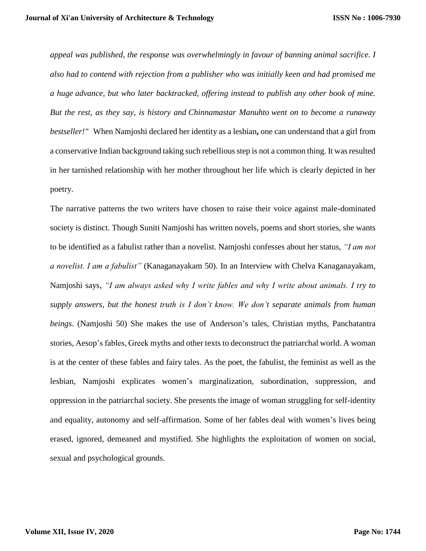*appeal was published, the response was overwhelmingly in favour of banning animal sacrifice. I also had to contend with rejection from a publisher who was initially keen and had promised me a huge [advance,](https://en.wikipedia.org/wiki/Advance_payment) but who later backtracked, offering instead to publish any other book of mine. But the rest, as they say, is history and Chinnamastar Manuhto went on to become a runaway bestseller!"* When Namjoshi declared her identity as a lesbian**,** one can understand that a girl from a conservative Indian background taking such rebellious step is not a common thing. It was resulted in her tarnished relationship with her mother throughout her life which is clearly depicted in her poetry.

The narrative patterns the two writers have chosen to raise their voice against male-dominated society is distinct. Though Suniti Namjoshi has written novels, poems and short stories, she wants to be identified as a fabulist rather than a novelist. Namjoshi confesses about her status, *"I am not a novelist. I am a fabulist"* (Kanaganayakam 50). In an Interview with Chelva Kanaganayakam, Namjoshi says, *"I am always asked why I write fables and why I write about animals. I try to supply answers, but the honest truth is I don't know. We don't separate animals from human beings*. (Namjoshi 50) She makes the use of Anderson's tales, Christian myths, Panchatantra stories, Aesop's fables, Greek myths and other texts to deconstruct the patriarchal world. A woman is at the center of these fables and fairy tales. As the poet, the fabulist, the feminist as well as the lesbian, Namjoshi explicates women's marginalization, subordination, suppression, and oppression in the patriarchal society. She presents the image of woman struggling for self-identity and equality, autonomy and self-affirmation. Some of her fables deal with women's lives being erased, ignored, demeaned and mystified. She highlights the exploitation of women on social, sexual and psychological grounds.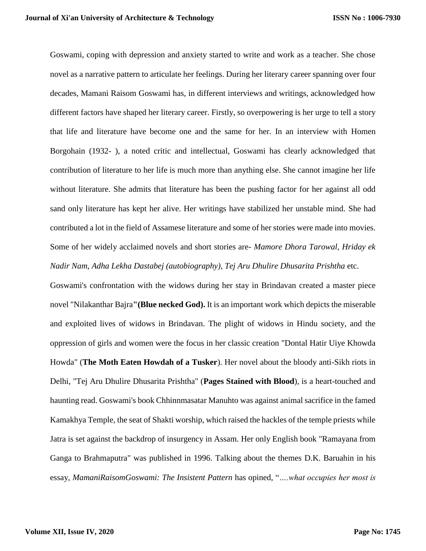Goswami, coping with depression and anxiety started to write and work as a teacher. She chose novel as a narrative pattern to articulate her feelings. During her literary career spanning over four decades, Mamani Raisom Goswami has, in different interviews and writings, acknowledged how different factors have shaped her literary career. Firstly, so overpowering is her urge to tell a story that life and literature have become one and the same for her. In an interview with Homen Borgohain (1932- ), a noted critic and intellectual, Goswami has clearly acknowledged that contribution of literature to her life is much more than anything else. She cannot imagine her life without literature. She admits that literature has been the pushing factor for her against all odd sand only literature has kept her alive. Her writings have stabilized her unstable mind. She had contributed a lot in the field of Assamese literature and some of her stories were made into movies. Some of her widely acclaimed novels and short stories are- *Mamore Dhora Tarowal, Hriday ek Nadir Nam, Adha Lekha Dastabej (autobiography), Tej Aru Dhulire Dhusarita Prishtha* etc.

Goswami's confrontation with the widows during her stay in Brindavan created a master piece novel "Nilakanthar Bajra**"(Blue necked God).** It is an important work which depicts the miserable and exploited lives of widows in Brindavan. The plight of widows in Hindu society, and the oppression of girls and women were the focus in her classic creation "Dontal Hatir Uiye Khowda Howda" (**The Moth Eaten Howdah of a Tusker**). Her novel about the bloody anti-Sikh riots in Delhi, "Tej Aru Dhulire Dhusarita Prishtha" (**Pages Stained with Blood**), is a heart-touched and haunting read. Goswami's book Chhinnmasatar Manuhto was against animal sacrifice in the famed Kamakhya Temple, the seat of Shakti worship, which raised the hackles of the temple priests while Jatra is set against the backdrop of insurgency in Assam. Her only English book "Ramayana from Ganga to Brahmaputra" was published in 1996. Talking about the themes D.K. Baruahin in his essay, *MamaniRaisomGoswami: The Insistent Pattern* has opined, "*….what occupies her most is*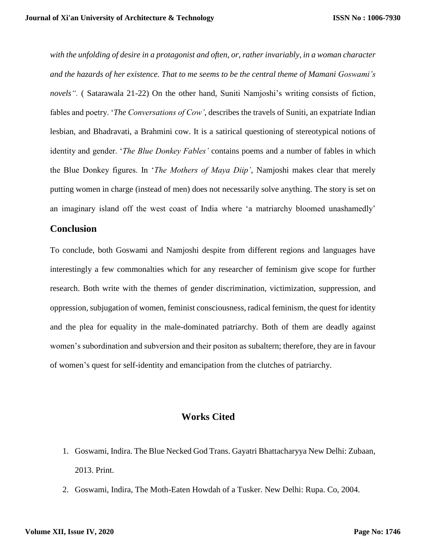*with the unfolding of desire in a protagonist and often, or, rather invariably, in a woman character and the hazards of her existence. That to me seems to be the central theme of Mamani Goswami's novels".* ( Satarawala 21-22) On the other hand, Suniti Namjoshi's writing consists of fiction, fables and poetry. '*The Conversations of Cow'*, describes the travels of Suniti, an expatriate Indian lesbian, and Bhadravati, a Brahmini cow. It is a satirical questioning of stereotypical notions of identity and gender. '*The Blue Donkey Fables'* contains poems and a number of fables in which the Blue Donkey figures. In '*The Mothers of Maya Diip'*, Namjoshi makes clear that merely putting women in charge (instead of men) does not necessarily solve anything. The story is set on an imaginary island off the west coast of India where 'a matriarchy bloomed unashamedly'

## **Conclusion**

To conclude, both Goswami and Namjoshi despite from different regions and languages have interestingly a few commonalties which for any researcher of feminism give scope for further research. Both write with the themes of gender discrimination, victimization, suppression, and oppression, subjugation of women, feminist consciousness, radical feminism, the quest for identity and the plea for equality in the male-dominated patriarchy. Both of them are deadly against women's subordination and subversion and their positon as subaltern; therefore, they are in favour of women's quest for self-identity and emancipation from the clutches of patriarchy.

## **Works Cited**

- 1. Goswami, Indira. The Blue Necked God Trans. Gayatri Bhattacharyya New Delhi: Zubaan, 2013. Print.
- 2. Goswami, Indira, The Moth-Eaten Howdah of a Tusker. New Delhi: Rupa. Co, 2004.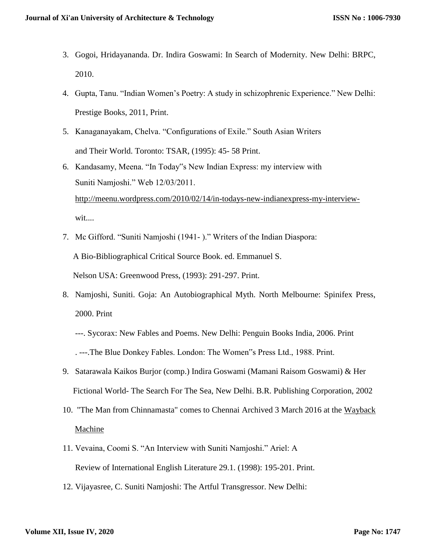- 3. Gogoi, Hridayananda. Dr. Indira Goswami: In Search of Modernity. New Delhi: BRPC, 2010.
- 4. Gupta, Tanu. "Indian Women's Poetry: A study in schizophrenic Experience." New Delhi: Prestige Books, 2011, Print.
- 5. Kanaganayakam, Chelva. "Configurations of Exile." South Asian Writers and Their World. Toronto: TSAR, (1995): 45- 58 Print.
- 6. Kandasamy, Meena. "In Today"s New Indian Express: my interview with Suniti Namjoshi." Web 12/03/2011. [http://meenu.wordpress.com/2010/02/14/in-todays-new-indianexpress-my-interview](http://meenu.wordpress.com/2010/02/14/in-todays-new-indianexpress-my-interview-) wit....
- 7. Mc Gifford. "Suniti Namjoshi (1941- )." Writers of the Indian Diaspora: A Bio-Bibliographical Critical Source Book. ed. Emmanuel S. Nelson USA: Greenwood Press, (1993): 291-297. Print.
- 8. Namjoshi, Suniti. Goja: An Autobiographical Myth. North Melbourne: Spinifex Press, 2000. Print
	- ---. Sycorax: New Fables and Poems. New Delhi: Penguin Books India, 2006. Print . ---.The Blue Donkey Fables. London: The Women"s Press Ltd., 1988. Print.
- 9. Satarawala Kaikos Burjor (comp.) Indira Goswami (Mamani Raisom Goswami) & Her Fictional World- The Search For The Sea, New Delhi. B.R. Publishing Corporation, 2002
- 10. ["The Man from Chinnamasta" comes to Chennai](http://kathamedia.blogspot.com/2006/11/man-from-chinnamasta-comes-to-chennai.html) [Archived](https://web.archive.org/web/20160303202323/http:/kathamedia.blogspot.com/2006/11/man-from-chinnamasta-comes-to-chennai.html) 3 March 2016 at the [Wayback](https://en.wikipedia.org/wiki/Wayback_Machine)  [Machine](https://en.wikipedia.org/wiki/Wayback_Machine)
- 11. Vevaina, Coomi S. "An Interview with Suniti Namjoshi." Ariel: A Review of International English Literature 29.1. (1998): 195-201. Print.
- 12. Vijayasree, C. Suniti Namjoshi: The Artful Transgressor. New Delhi: